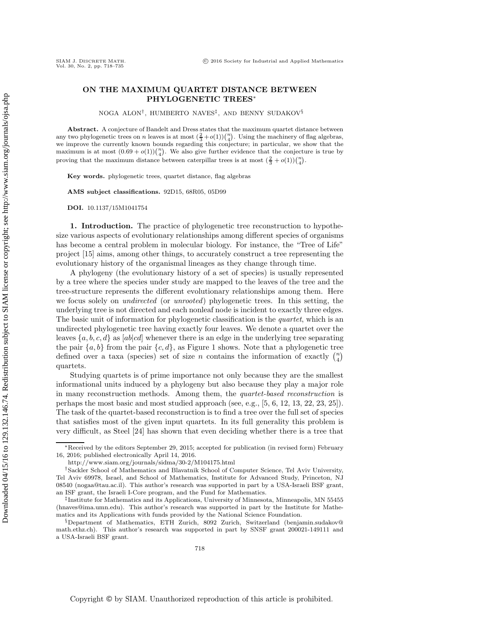## SIAM J. DISCRETE <sup>M</sup>ATH. -Vol. 30, No. 2, pp. 718–735

## **ON THE MAXIMUM QUARTET DISTANCE BETWEEN PHYLOGENETIC TREES**∗

NOGA ALON†, HUMBERTO NAVES‡, AND BENNY SUDAKOV§

**Abstract.** A conjecture of Bandelt and Dress states that the maximum quartet distance between any two phylogenetic trees on *n* leaves is at most  $(\frac{2}{3}+o(1))\binom{n}{4}$ . Using the machinery of flag algebras, we improve the currently known bounds regarding this conjecture; in particular, we show that the maximum is at most  $(0.69 + o(1))\binom{n}{4}$ . We also give further evidence that the conjecture is true by proving that the maximum distance between caterpillar trees is at most  $(\frac{2}{3} + o(1))\binom{n}{4}$ .

**Key words.** phylogenetic trees, quartet distance, flag algebras

**AMS subject classifications.** 92D15, 68R05, 05D99

**DOI.** 10.1137/15M1041754

**1. Introduction.** The practice of phylogenetic tree reconstruction to hypothesize various aspects of evolutionary relationships among different species of organisms has become a central problem in molecular biology. For instance, the "Tree of Life" project [\[15\]](#page-17-0) aims, among other things, to accurately construct a tree representing the evolutionary history of the organismal lineages as they change through time.

A phylogeny (the evolutionary history of a set of species) is usually represented by a tree where the species under study are mapped to the leaves of the tree and the tree-structure represents the different evolutionary relationships among them. Here we focus solely on *undirected* (or *unrooted*) phylogenetic trees. In this setting, the underlying tree is not directed and each nonleaf node is incident to exactly three edges. The basic unit of information for phylogenetic classification is the *quartet*, which is an undirected phylogenetic tree having exactly four leaves. We denote a quartet over the leaves  $\{a, b, c, d\}$  as  $[ab|cd]$  whenever there is an edge in the underlying tree separating the pair  $\{a, b\}$  from the pair  $\{c, d\}$ , as Figure [1](#page-1-0) shows. Note that a phylogenetic tree defined over a taxa (species) set of size *n* contains the information of exactly  $\binom{n}{4}$  $\binom{n}{4}$ quartets.

Studying quartets is of prime importance not only because they are the smallest informational units induced by a phylogeny but also because they play a major role in many reconstruction methods. Among them, the *quartet-based reconstruction* is perhaps the most basic and most studied approach (see, e.g., [\[5,](#page-16-0) [6,](#page-17-1) [12,](#page-17-2) [13,](#page-17-3) [22,](#page-17-4) [23,](#page-17-5) [25\]](#page-17-6)). The task of the quartet-based reconstruction is to find a tree over the full set of species that satisfies most of the given input quartets. In its full generality this problem is very difficult, as Steel [\[24\]](#page-17-7) has shown that even deciding whether there is a tree that

<sup>∗</sup>Received by the editors September 29, 2015; accepted for publication (in revised form) February 16, 2016; published electronically April 14, 2016.

<http://www.siam.org/journals/sidma/30-2/M104175.html>

<sup>†</sup>Sackler School of Mathematics and Blavatnik School of Computer Science, Tel Aviv University, Tel Aviv 69978, Israel, and School of Mathematics, Institute for Advanced Study, Princeton, NJ 08540 [\(nogaa@tau.ac.il\)](mailto:nogaa@tau.ac.il). This author's research was supported in part by a USA-Israeli BSF grant, an ISF grant, the Israeli I-Core program, and the Fund for Mathematics.

<sup>‡</sup>Institute for Mathematics and its Applications, University of Minnesota, Minneapolis, MN 55455 [\(hnaves@ima.umn.edu\)](mailto:hnaves@ima.umn.edu). This author's research was supported in part by the Institute for Mathematics and its Applications with funds provided by the National Science Foundation.

<sup>§</sup>Department of Mathematics, ETH Zurich, 8092 Zurich, Switzerland [\(benjamin.sudakov@](mailto:benjamin.sudakov@math.ethz.ch) [math.ethz.ch\)](mailto:benjamin.sudakov@math.ethz.ch). This author's research was supported in part by SNSF grant 200021-149111 and a USA-Israeli BSF grant.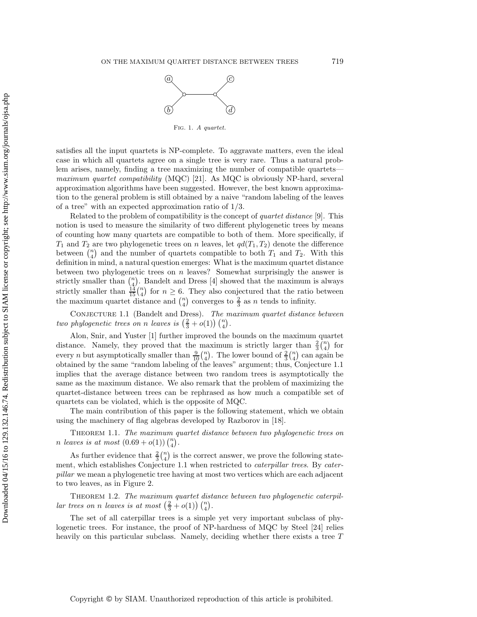

Fig. 1. *A quartet.*

<span id="page-1-0"></span>satisfies all the input quartets is NP-complete. To aggravate matters, even the ideal case in which all quartets agree on a single tree is very rare. Thus a natural problem arises, namely, finding a tree maximizing the number of compatible quartets *maximum quartet compatibility* (MQC) [\[21\]](#page-17-8). As MQC is obviously NP-hard, several approximation algorithms have been suggested. However, the best known approximation to the general problem is still obtained by a naive "random labeling of the leaves of a tree" with an expected approximation ratio of 1/3.

Related to the problem of compatibility is the concept of *quartet distance* [\[9\]](#page-17-9). This notion is used to measure the similarity of two different phylogenetic trees by means of counting how many quartets are compatible to both of them. More specifically, if  $T_1$  and  $T_2$  are two phylogenetic trees on n leaves, let  $qd(T_1, T_2)$  denote the difference between  $\bar{\binom{n}{4}}$  $\binom{n}{4}$  and the number of quartets compatible to both  $T_1$  and  $T_2$ . With this definition in mind, a natural question emerges: What is the maximum quartet distance between two phylogenetic trees on  $n$  leaves? Somewhat surprisingly the answer is strictly smaller than  $\int_{4}^{n}$  $\binom{n}{4}$ . Bandelt and Dress [\[4\]](#page-16-1) showed that the maximum is always strictly smaller than  $\frac{14}{15}$  $\binom{n}{4}$  $\binom{n}{4}$  for  $n \geq 6$ . They also conjectured that the ratio between the maximum quartet distance and  $\binom{n}{4}$  $n \choose 4$  converges to  $\frac{2}{3}$  as *n* tends to infinity.

<span id="page-1-1"></span>Conjecture 1.1 (Bandelt and Dress). *The maximum quartet distance between*  $two \ phylogenetic \ trees \ on \ n \ leaves \ is \ \left(\frac{2}{3}+o(1)\right)\left(\frac{n}{4}\right)$  $\binom{n}{4}$ .

Alon, Snir, and Yuster [\[1\]](#page-16-2) further improved the bounds on the maximum quartet distance. Namely, they proved that the maximum is strictly larger than  $\frac{2}{3} {n \choose 4}$  $\binom{n}{4}$  for every *n* but asymptotically smaller than  $\frac{9}{10}$   $\binom{n}{4}$  $\binom{n}{4}$ . The lower bound of  $\frac{2}{3}\binom{n}{4}$  $\binom{n}{4}$  can again be obtained by the same "random labeling of the leaves" argument; thus, Conjecture [1.1](#page-1-1) implies that the average distance between two random trees is asymptotically the same as the maximum distance. We also remark that the problem of maximizing the quartet-distance between trees can be rephrased as how much a compatible set of quartets can be violated, which is the opposite of MQC.

The main contribution of this paper is the following statement, which we obtain using the machinery of flag algebras developed by Razborov in [\[18\]](#page-17-10).

<span id="page-1-2"></span>Theorem 1.1. *The maximum quartet distance between two phylogenetic trees on n leaves is at most*  $(0.69 + o(1))$   $\binom{n}{4}$  $\binom{n}{4}$ .

As further evidence that  $\frac{2}{3} {n \choose 4}$  $\binom{n}{4}$  is the correct answer, we prove the following statement, which establishes Conjecture [1.1](#page-1-1) when restricted to *caterpillar trees*. By *caterpillar* we mean a phylogenetic tree having at most two vertices which are each adjacent to two leaves, as in Figure [2.](#page-2-0)

<span id="page-1-3"></span>THEOREM 1.2. The maximum quartet distance between two phylogenetic caterpil*lar trees on n leaves is at most*  $\left(\frac{2}{3} + o(1)\right) \binom{n}{4}$  $\binom{n}{4}$ .

The set of all caterpillar trees is a simple yet very important subclass of phylogenetic trees. For instance, the proof of NP-hardness of MQC by Steel [\[24\]](#page-17-7) relies heavily on this particular subclass. Namely, deciding whether there exists a tree T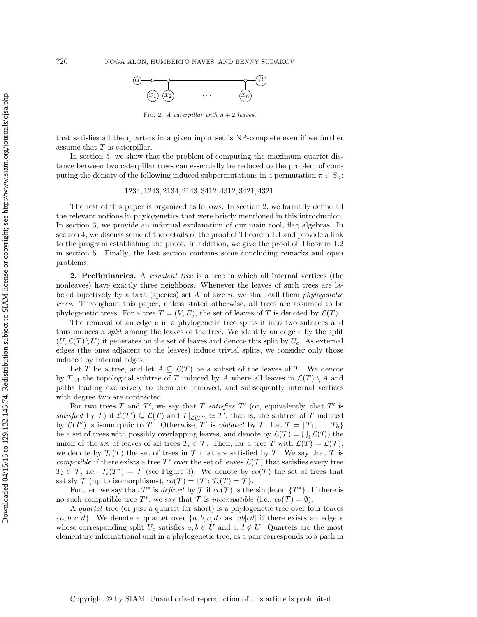

FIG. 2. *A caterpillar with*  $n + 2$  *leaves.* 

<span id="page-2-0"></span>that satisfies all the quartets in a given input set is NP-complete even if we further assume that  $T$  is caterpillar.

In section [5,](#page-14-0) we show that the problem of computing the maximum quartet distance between two caterpillar trees can essentially be reduced to the problem of computing the density of the following induced subpermutations in a permutation  $\pi \in S_n$ :

## 1234, 1243, 2134, 2143, 3412, 4312, 3421, 4321.

The rest of this paper is organized as follows. In section [2,](#page-2-1) we formally define all the relevant notions in phylogenetics that were briefly mentioned in this introduction. In section [3,](#page-3-0) we provide an informal explanation of our main tool, flag algebras. In section [4,](#page-11-0) we discuss some of the details of the proof of Theorem [1.1](#page-1-2) and provide a link to the program establishing the proof. In addition, we give the proof of Theorem [1.2](#page-1-3) in section [5.](#page-14-0) Finally, the last section contains some concluding remarks and open problems.

<span id="page-2-1"></span>**2. Preliminaries.** A *trivalent tree* is a tree in which all internal vertices (the nonleaves) have exactly three neighbors. Whenever the leaves of such trees are labeled bijectively by a taxa (species) set  $X$  of size  $n$ , we shall call them *phylogenetic trees*. Throughout this paper, unless stated otherwise, all trees are assumed to be phylogenetic trees. For a tree  $T = (V, E)$ , the set of leaves of T is denoted by  $\mathcal{L}(T)$ .

The removal of an edge e in a phylogenetic tree splits it into two subtrees and thus induces a *split* among the leaves of the tree. We identify an edge e by the split  $(U,\mathcal{L}(T)\setminus U)$  it generates on the set of leaves and denote this split by  $U_e$ . As external edges (the ones adjacent to the leaves) induce trivial splits, we consider only those induced by internal edges.

Let T be a tree, and let  $A \subseteq \mathcal{L}(T)$  be a subset of the leaves of T. We denote by  $T_{A}$  the topological subtree of T induced by A where all leaves in  $\mathcal{L}(T) \setminus A$  and paths leading exclusively to them are removed, and subsequently internal vertices with degree two are contracted.

For two trees  $T$  and  $T'$ , we say that  $T$  *satisfies*  $T'$  (or, equivalently, that  $T'$  is *satisfied* by T) if  $\mathcal{L}(T') \subseteq \mathcal{L}(T)$  and  $T|_{\mathcal{L}(T')} \simeq T'$ , that is, the subtree of T induced by  $\mathcal{L}(T')$  is isomorphic to T'. Otherwise, T' is *violated* by T. Let  $\mathcal{T} = \{T_1, \ldots, T_k\}$ be a set of trees with possibly overlapping leaves, and denote by  $\mathcal{L}(\mathcal{T}) = \bigcup_i \mathcal{L}(T_i)$  the union of the set of leaves of all trees  $T_i \in \mathcal{T}$ . Then, for a tree T with  $\mathcal{L}(T) = \mathcal{L}(\mathcal{T})$ , we denote by  $\mathcal{T}_s(T)$  the set of trees in  $\mathcal T$  that are satisfied by T. We say that  $\mathcal T$  is *compatible* if there exists a tree  $T^*$  over the set of leaves  $\mathcal{L}(\mathcal{T})$  that satisfies every tree  $T_i \in \mathcal{T}$ , i.e.,  $\mathcal{T}_s(T^*) = \mathcal{T}$  (see Figure [3\)](#page-3-1). We denote by  $co(\mathcal{T})$  the set of trees that satisfy  $\mathcal T$  (up to isomorphisms),  $co(\mathcal T) = \{T : \mathcal T_s(T) = \mathcal T\}.$ 

Further, we say that  $T^*$  is *defined* by  $\mathcal T$  if  $co(\mathcal T)$  is the singleton  $\{T^*\}$ . If there is no such compatible tree  $T^*$ , we say that  $\mathcal T$  is *incompatible* (i.e.,  $co(\mathcal T) = \emptyset$ ).

A *quartet* tree (or just a quartet for short) is a phylogenetic tree over four leaves  ${a, b, c, d}$ . We denote a quartet over  ${a, b, c, d}$  as  $[ab|cd]$  if there exists an edge e whose corresponding split  $U_e$  satisfies  $a, b \in U$  and  $c, d \notin U$ . Quartets are the most elementary informational unit in a phylogenetic tree, as a pair corresponds to a path in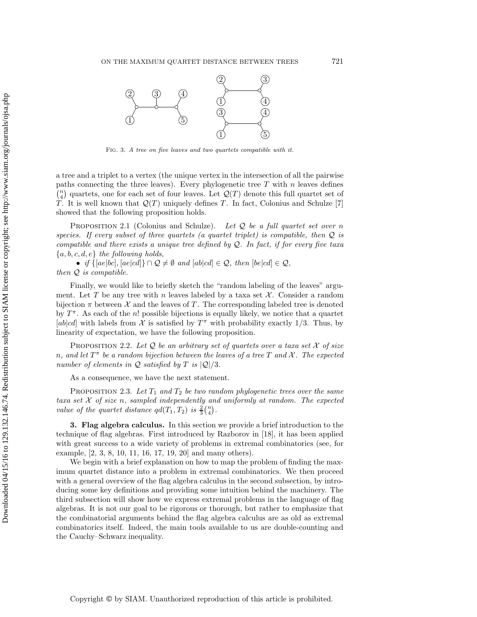<span id="page-3-1"></span>

Fig. 3. *A tree on five leaves and two quartets compatible with it.*

a tree and a triplet to a vertex (the unique vertex in the intersection of all the pairwise paths connecting the three leaves). Every phylogenetic tree  $T$  with  $n$  leaves defines  $\int_{A}^{n}$  $\mathcal{Q}(T)$  quartets, one for each set of four leaves. Let  $\mathcal{Q}(T)$  denote this full quartet set of T. It is well known that  $\mathcal{Q}(T)$  uniquely defines T. In fact, Colonius and Schulze [\[7\]](#page-17-11) showed that the following proposition holds.

Proposition 2.1 (Colonius and Schulze). *Let* Q *be a full quartet set over* n *species. If every subset of three quartets (a quartet triplet) is compatible, then* Q *is compatible and there exists a unique tree defined by* Q*. In fact, if for every five taxa* {a, b, c, d, e} *the following holds,*

• *if*  $\{[ae|bc], [ae|cd]\} \cap \mathcal{Q} \neq \emptyset$  and  $[ab|cd] \in \mathcal{Q}$ , then  $[be|cd] \in \mathcal{Q}$ , *then* Q *is compatible.*

Finally, we would like to briefly sketch the "random labeling of the leaves" argument. Let T be any tree with n leaves labeled by a taxa set  $\mathcal{X}$ . Consider a random bijection  $\pi$  between  $\mathcal X$  and the leaves of T. The corresponding labeled tree is denoted by  $T^{\pi}$ . As each of the n! possible bijections is equally likely, we notice that a quartet [ab|cd] with labels from  $\mathcal X$  is satisfied by  $T^{\pi}$  with probability exactly 1/3. Thus, by linearity of expectation, we have the following proposition.

Proposition 2.2. *Let* Q *be an arbitrary set of quartets over a taxa set* X *of size*  $n$ , and let  $T^{\pi}$  be a random bijection between the leaves of a tree  $T$  and  $\mathcal{X}$ . The expected *number of elements in*  $Q$  *satisfied by*  $T$  *is*  $|Q|/3$ *.* 

As a consequence, we have the next statement.

PROPOSITION 2.3. Let  $T_1$  and  $T_2$  be two random phylogenetic trees over the same *taxa set* X *of size* n*, sampled independently and uniformly at random. The expected value of the quartet distance*  $qd(T_1, T_2)$  *is*  $\frac{2}{3} {n \choose 4}$  $\binom{n}{4}$ .

<span id="page-3-0"></span>**3. Flag algebra calculus.** In this section we provide a brief introduction to the technique of flag algebras. First introduced by Razborov in [\[18\]](#page-17-10), it has been applied with great success to a wide variety of problems in extremal combinatorics (see, for example, [\[2,](#page-16-3) [3,](#page-16-4) [8,](#page-17-12) [10,](#page-17-13) [11,](#page-17-14) [16,](#page-17-15) [17,](#page-17-16) [19,](#page-17-17) [20\]](#page-17-18) and many others).

We begin with a brief explanation on how to map the problem of finding the maximum quartet distance into a problem in extremal combinatorics. We then proceed with a general overview of the flag algebra calculus in the second subsection, by introducing some key definitions and providing some intuition behind the machinery. The third subsection will show how we express extremal problems in the language of flag algebras. It is not our goal to be rigorous or thorough, but rather to emphasize that the combinatorial arguments behind the flag algebra calculus are as old as extremal combinatorics itself. Indeed, the main tools available to us are double-counting and the Cauchy–Schwarz inequality.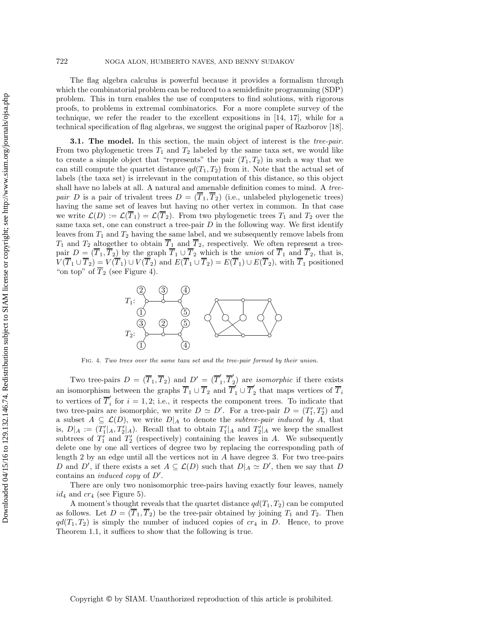The flag algebra calculus is powerful because it provides a formalism through which the combinatorial problem can be reduced to a semidefinite programming (SDP) problem. This in turn enables the use of computers to find solutions, with rigorous proofs, to problems in extremal combinatorics. For a more complete survey of the technique, we refer the reader to the excellent expositions in [\[14,](#page-17-19) [17\]](#page-17-16), while for a technical specification of flag algebras, we suggest the original paper of Razborov [\[18\]](#page-17-10).

**3.1. The model.** In this section, the main object of interest is the *tree-pair*. From two phylogenetic trees  $T_1$  and  $T_2$  labeled by the same taxa set, we would like to create a simple object that "represents" the pair  $(T_1, T_2)$  in such a way that we can still compute the quartet distance  $qd(T_1, T_2)$  from it. Note that the actual set of labels (the taxa set) is irrelevant in the computation of this distance, so this object shall have no labels at all. A natural and amenable definition comes to mind. A *treepair* D is a pair of trivalent trees  $D = (\overline{T}_1, \overline{T}_2)$  (i.e., unlabeled phylogenetic trees) having the same set of leaves but having no other vertex in common. In that case we write  $\mathcal{L}(D) := \mathcal{L}(\overline{T}_1) = \mathcal{L}(\overline{T}_2)$ . From two phylogenetic trees  $T_1$  and  $T_2$  over the same taxa set, one can construct a tree-pair  $D$  in the following way. We first identify leaves from  $T_1$  and  $T_2$  having the same label, and we subsequently remove labels from  $T_1$  and  $T_2$  altogether to obtain  $\overline{T}_1$  and  $\overline{T}_2$ , respectively. We often represent a treepair  $D = (\overline{T}_1, \overline{T}_2)$  by the graph  $\overline{T}_1 \cup \overline{T}_2$  which is the *union* of  $\overline{T}_1$  and  $\overline{T}_2$ , that is,  $V(T_1\cup\overline{T}_2)=V(T_1)\cup V(T_2)$  and  $E(T_1\cup\overline{T}_2)=E(T_1)\cup E(T_2)$ , with  $\overline{T}_1$  positioned "on top" of  $\overline{T}_2$  (see Figure [4\)](#page-4-0).

<span id="page-4-0"></span>

Fig. 4. *Two trees over the same taxa set and the tree-pair formed by their union.*

Two tree-pairs  $D = (\overline{T}_1, \overline{T}_2)$  and  $D' = (\overline{T}'_1, \overline{T}'_2)$  are *isomorphic* if there exists an isomorphism between the graphs  $\overline{T}_1 \cup \overline{T}_2$  and  $\overline{T}_1' \cup \overline{T}_2'$  that maps vertices of  $\overline{T}_i$ to vertices of  $\overline{T}'_i$  for  $i = 1, 2$ ; i.e., it respects the component trees. To indicate that two tree-pairs are isomorphic, we write  $D \simeq D'$ . For a tree-pair  $D = (T'_1, T'_2)$  and a subset  $A \subseteq \mathcal{L}(D)$ , we write  $D|_A$  to denote the *subtree-pair induced by* A, that is,  $D|_A := (T'_1|_A, T'_2|_A)$ . Recall that to obtain  $T'_1|_A$  and  $T'_2|_A$  we keep the smallest subtrees of  $T_1'$  and  $T_2'$  (respectively) containing the leaves in A. We subsequently delete one by one all vertices of degree two by replacing the corresponding path of length 2 by an edge until all the vertices not in  $A$  have degree 3. For two tree-pairs D and D', if there exists a set  $A \subseteq \mathcal{L}(D)$  such that  $D|_A \simeq D'$ , then we say that D contains an *induced copy* of D .

There are only two nonisomorphic tree-pairs having exactly four leaves, namely  $id_4$  and  $cr_4$  (see Figure [5\)](#page-5-0).

<span id="page-4-1"></span>A moment's thought reveals that the quartet distance  $qd(T_1, T_2)$  can be computed as follows. Let  $D = (\overline{T}_1, \overline{T}_2)$  be the tree-pair obtained by joining  $T_1$  and  $T_2$ . Then  $qd(T_1, T_2)$  is simply the number of induced copies of  $cr_4$  in D. Hence, to prove Theorem [1.1,](#page-1-2) it suffices to show that the following is true.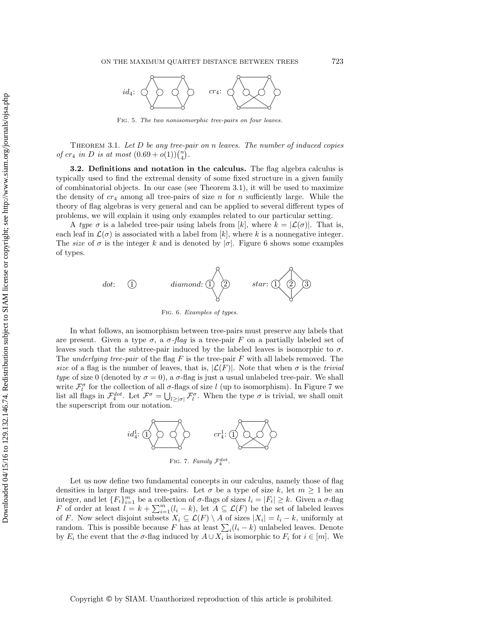<span id="page-5-0"></span>

Fig. 5. *The two nonisomorphic tree-pairs on four leaves.*

Theorem 3.1. *Let* D *be any tree-pair on* n *leaves. The number of induced copies of*  $cr_4$  *in D is at most*  $(0.69 + o(1))(^n_4)$  $\binom{n}{4}$ .

**3.2. Definitions and notation in the calculus.** The flag algebra calculus is typically used to find the extremal density of some fixed structure in a given family of combinatorial objects. In our case (see Theorem [3.1\)](#page-4-1), it will be used to maximize the density of  $cr_4$  among all tree-pairs of size n for n sufficiently large. While the theory of flag algebras is very general and can be applied to several different types of problems, we will explain it using only examples related to our particular setting.

<span id="page-5-1"></span>A *type*  $\sigma$  is a labeled tree-pair using labels from [k], where  $k = |\mathcal{L}(\sigma)|$ . That is, each leaf in  $\mathcal{L}(\sigma)$  is associated with a label from  $[k]$ , where k is a nonnegative integer. The *size* of  $\sigma$  is the integer k and is denoted by  $|\sigma|$ . Figure [6](#page-5-1) shows some examples of types.



Fig. 6. *Examples of types.*

In what follows, an isomorphism between tree-pairs must preserve any labels that are present. Given a type  $\sigma$ , a  $\sigma$ -*flag* is a tree-pair F on a partially labeled set of leaves such that the subtree-pair induced by the labeled leaves is isomorphic to  $\sigma$ . The *underlying tree-pair* of the flag F is the tree-pair F with all labels removed. The *size* of a flag is the number of leaves, that is,  $|\mathcal{L}(F)|$ . Note that when  $\sigma$  is the *trivial type* of size 0 (denoted by  $\sigma = 0$ ), a  $\sigma$ -flag is just a usual unlabeled tree-pair. We shall write  $\mathcal{F}_{l}^{\sigma}$  for the collection of all  $\sigma$ -flags of size l (up to isomorphism). In Figure [7](#page-5-2) we list all flags in  $\mathcal{F}_4^{dot}$ . Let  $\mathcal{F}^{\sigma} = \bigcup_{l \geq |\sigma|} \mathcal{F}_l^{\sigma}$ . When the type  $\sigma$  is trivial, we shall omit the superscript from our notation.



FIG. 7. *Family*  $\mathcal{F}_4^{dot}$ .

<span id="page-5-2"></span>Let us now define two fundamental concepts in our calculus, namely those of flag densities in larger flags and tree-pairs. Let  $\sigma$  be a type of size k, let  $m \ge 1$  be an integer, and let  ${F_i}_{i=1}^m$  be a collection of  $\sigma$ -flags of sizes  $l_i = |F_i| \geq k$ . Given a  $\sigma$ -flag F of order at least  $l = k + \sum_{i=1}^{m} (l_i - k)$ , let  $A \subseteq \mathcal{L}(F)$  be the set of labeled leaves of F. Now select disjoint subsets  $X_i \subseteq \mathcal{L}(F) \setminus A$  of sizes  $|X_i| = l_i - k$ , uniformly at random. This is possible because F has at least  $\sum_i(l_i - k)$  unlabeled leaves. Denote by  $E_i$  the event that the  $\sigma$ -flag induced by  $A \cup X_i$  is isomorphic to  $F_i$  for  $i \in [m]$ . We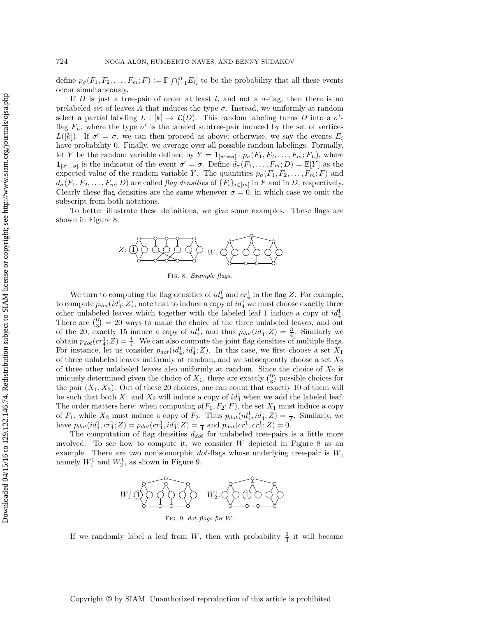define  $p_{\sigma}(F_1, F_2, \ldots, F_m; F) := \mathbb{P}[\bigcap_{i=1}^m E_i]$  to be the probability that all these events occur simultaneously.

If D is just a tree-pair of order at least l, and not a  $\sigma$ -flag, then there is no prelabeled set of leaves A that induces the type  $\sigma$ . Instead, we uniformly at random select a partial labeling  $L : [k] \to \mathcal{L}(D)$ . This random labeling turns D into a  $\sigma'$ flag  $F<sub>L</sub>$ , where the type  $\sigma'$  is the labeled subtree-pair induced by the set of vertices  $L([k])$ . If  $\sigma' = \sigma$ , we can then proceed as above; otherwise, we say the events  $E_i$ have probability 0. Finally, we average over all possible random labelings. Formally, let Y be the random variable defined by  $Y = \mathbf{1}_{[\sigma' = \sigma]} \cdot p_{\sigma}(F_1, F_2, \dots, F_m; F_L)$ , where  $\mathbf{1}_{[\sigma'=\sigma]}$  is the indicator of the event  $\sigma'=\sigma$ . Define  $d_{\sigma}(F_1,\ldots,F_m;D)=\mathbb{E}[Y]$  as the expected value of the random variable Y. The quantities  $p_{\sigma}(F_1, F_2, \ldots, F_m; F)$  and  $d_{\sigma}(F_1, F_2, \ldots, F_m; D)$  are called *flag densities* of  $\{F_i\}_{i \in [m]}$  in F and in D, respectively. Clearly these flag densities are the same whenever  $\sigma = 0$ , in which case we omit the subscript from both notations.

<span id="page-6-0"></span>To better illustrate these definitions, we give some examples. These flags are shown in Figure [8.](#page-6-0)



Fig. 8. *Example flags.*

We turn to computing the flag densities of  $id_4^1$  and  $cr_4^1$  in the flag Z. For example, to compute  $p_{dot}(id_4^1; Z)$ , note that to induce a copy of  $id_4^1$  we must choose exactly three other unlabeled leaves which together with the labeled leaf 1 induce a copy of  $id_4^1$ . There are  $\binom{6}{3} = 20$  ways to make the choice of the three unlabeled leaves, and out of the 20, exactly 15 induce a copy of  $id_4^1$ , and thus  $p_{dot}(id_4^1; Z) = \frac{3}{4}$ . Similarly we obtain  $p_{dot}(cr_4^1;Z) = \frac{1}{4}$ . We can also compute the joint flag densities of multiple flags. For instance, let us consider  $p_{dot}(id_4^1, id_4^1; Z)$ . In this case, we first choose a set  $X_1$ of three unlabeled leaves uniformly at random, and we subsequently choose a set  $X_2$ of three other unlabeled leaves also uniformly at random. Since the choice of  $X_2$  is uniquely determined given the choice of  $X_1$ , there are exactly  $\binom{6}{3}$  possible choices for the pair  $(X_1, X_2)$ . Out of these 20 choices, one can count that exactly 10 of them will be such that both  $X_1$  and  $X_2$  will induce a copy of  $id_4^1$  when we add the labeled leaf. The order matters here: when computing  $p(F_1, F_2; F)$ , the set  $X_1$  must induce a copy of  $F_1$ , while  $X_2$  must induce a copy of  $F_2$ . Thus  $p_{dot}(id_4^1, id_4^1; Z) = \frac{1}{2}$ . Similarly, we have  $p_{dot}(id_4^1, cr_4^1; Z) = p_{dot}(cr_4^1, id_4^1; Z) = \frac{1}{4}$  and  $p_{dot}(cr_4^1, cr_4^1; Z) = 0$ .

<span id="page-6-1"></span>The computation of flag densities  $d_{dot}$  for unlabeled tree-pairs is a little more involved. To see how to compute it, we consider  $W$  depicted in Figure [8](#page-6-0) as an example. There are two nonisomorphic  $dot$ -flags whose underlying tree-pair is  $W$ , namely  $W_1^1$  and  $W_2^1$ , as shown in Figure [9.](#page-6-1)



If we randomly label a leaf from W, then with probability  $\frac{2}{3}$  it will become

Copyright © by SIAM. Unauthorized reproduction of this article is prohibited.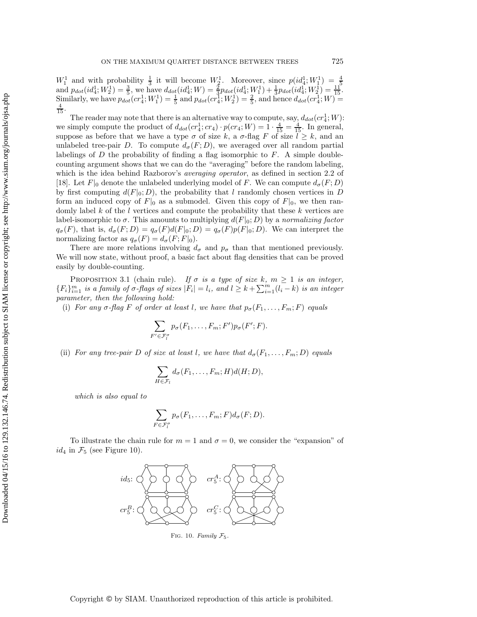$W_1^1$  and with probability  $\frac{1}{3}$  it will become  $W_2^1$ . Moreover, since  $p(id_4^1; W_1^1) = \frac{4}{5}$  and  $p_{dot}(id_4^1; W_2^1) = \frac{3}{5}$ , we have  $d_{dot}(id_4^1; W) = \frac{2}{3}p_{dot}(id_4^1; W_1^1) + \frac{1}{3}p_{dot}(id_4^1; W_2^1) = \frac{11}{15}$ . Similarly, we have  $p_{dot}(cr_4^1;W_1^1) = \frac{1}{5}$  and  $p_{dot}(cr_4^1;W_2^1) = \frac{2}{5}$ , and hence  $d_{dot}(cr_4^1;W) =$  $\frac{4}{15}$ .

The reader may note that there is an alternative way to compute, say,  $d_{dot}(cr_4^1;W)$ : we simply compute the product of  $d_{dot}(cr_4^1; cr_4) \cdot p(cr_4; W)=1 \cdot \frac{4}{15} = \frac{4}{15}$ . In general, suppose as before that we have a type  $\sigma$  of size k, a  $\sigma$ -flag F of size  $l \geq k$ , and an unlabeled tree-pair D. To compute  $d_{\sigma}(F; D)$ , we averaged over all random partial labelings of  $D$  the probability of finding a flag isomorphic to  $F$ . A simple doublecounting argument shows that we can do the "averaging" before the random labeling, which is the idea behind Razborov's *averaging operator*, as defined in section 2.2 of [\[18\]](#page-17-10). Let  $F|_0$  denote the unlabeled underlying model of F. We can compute  $d_{\sigma}(F; D)$ by first computing  $d(F|_0; D)$ , the probability that l randomly chosen vertices in D form an induced copy of  $F|_0$  as a submodel. Given this copy of  $F|_0$ , we then randomly label k of the l vertices and compute the probability that these  $k$  vertices are label-isomorphic to  $\sigma$ . This amounts to multiplying  $d(F|_0; D)$  by a *normalizing factor*  $q_{\sigma}(F)$ , that is,  $d_{\sigma}(F;D) = q_{\sigma}(F)d(F|_{0};D) = q_{\sigma}(F)p(F|_{0};D)$ . We can interpret the normalizing factor as  $q_{\sigma}(F) = d_{\sigma}(F; F|_0)$ .

There are more relations involving  $d_{\sigma}$  and  $p_{\sigma}$  than that mentioned previously. We will now state, without proof, a basic fact about flag densities that can be proved easily by double-counting.

PROPOSITION 3.1 (chain rule). *If*  $\sigma$  *is a type of size* k*,*  $m \geq 1$  *is an integer,*  ${F_i}_{i=1}^m$  *is a family of*  $\sigma$ *-flags of sizes*  $|F_i| = l_i$ *, and*  $l \geq k + \sum_{i=1}^m (l_i - k)$  *is an integer parameter, then the following hold:*

(i) *For any*  $\sigma$ -flag *F* of order at least *l*, we have that  $p_{\sigma}(F_1,\ldots,F_m;F)$  *equals* 

$$
\sum_{F' \in \mathcal{F}_l^{\sigma}} p_{\sigma}(F_1, \ldots, F_m; F') p_{\sigma}(F'; F).
$$

(ii) *For any tree-pair* D *of size at least* l, we have that  $d_{\sigma}(F_1,\ldots,F_m;D)$  *equals* 

$$
\sum_{H \in \mathcal{F}_l} d_{\sigma}(F_1, \ldots, F_m; H) d(H; D),
$$

*which is also equal to*

$$
\sum_{F \in \mathcal{F}_l^{\sigma}} p_{\sigma}(F_1, \ldots, F_m; F) d_{\sigma}(F; D).
$$

<span id="page-7-0"></span>To illustrate the chain rule for  $m = 1$  and  $\sigma = 0$ , we consider the "expansion" of  $id_4$  in  $\mathcal{F}_5$  (see Figure [10\)](#page-7-0).



Fig. 10. *Family <sup>F</sup>*5*.*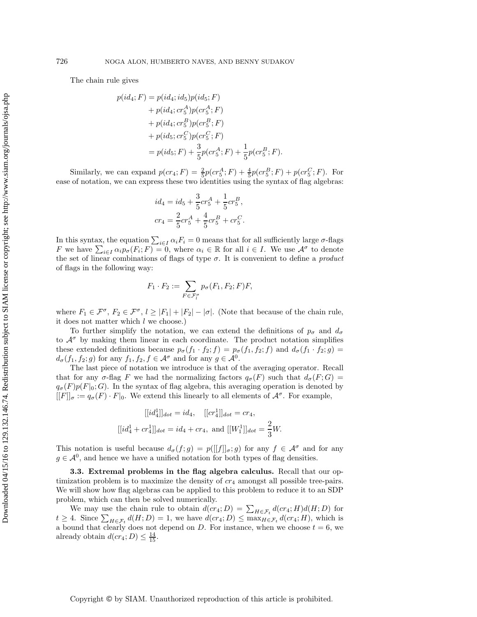The chain rule gives

$$
p(id_4; F) = p(id_4; id_5)p(id_5; F)
$$
  
+  $p(id_4; cr_5^A)p(cf_5^A; F)$   
+  $p(id_4; cr_5^B)p(cf_5^B; F)$   
+  $p(id_5; cr_5^C)p(cf_5^C; F)$   
=  $p(id_5; F) + \frac{3}{5}p(cf_5^A; F) + \frac{1}{5}p(cf_5^B; F).$ 

Similarly, we can expand  $p(c r_4; F) = \frac{2}{5} p(c r_5^A; F) + \frac{4}{5} p(c r_5^B; F) + p(c r_5^C; F)$ . For ease of notation, we can express these two identities using the syntax of flag algebras:

$$
id_4 = id_5 + \frac{3}{5}cr_5^A + \frac{1}{5}cr_5^B,
$$
  

$$
cr_4 = \frac{2}{5}cr_5^A + \frac{4}{5}cr_5^B + cr_5^C.
$$

In this syntax, the equation  $\sum_{i\in I} \alpha_i F_i = 0$  means that for all sufficiently large  $\sigma$ -flags F we have  $\sum_{i\in I}\alpha_i p_{\sigma}(F_i;F)=0$ , where  $\alpha_i\in\mathbb{R}$  for all  $i\in I$ . We use  $\mathcal{A}^{\sigma}$  to denote the set of linear combinations of flags of type σ. It is convenient to define a *product* of flags in the following way:

$$
F_1 \cdot F_2 := \sum_{F \in \mathcal{F}_l^{\sigma}} p_{\sigma}(F_1, F_2; F) F,
$$

where  $F_1 \in \mathcal{F}^{\sigma}$ ,  $F_2 \in \mathcal{F}^{\sigma}$ ,  $l \geq |F_1| + |F_2| - |\sigma|$ . (Note that because of the chain rule, it does not matter which  $l$  we choose.)

To further simplify the notation, we can extend the definitions of  $p_{\sigma}$  and  $d_{\sigma}$ to  $\mathcal{A}^{\sigma}$  by making them linear in each coordinate. The product notation simplifies these extended definitions because  $p_{\sigma}(f_1 \cdot f_2; f) = p_{\sigma}(f_1, f_2; f)$  and  $d_{\sigma}(f_1 \cdot f_2; g)$  $d_{\sigma}(f_1, f_2; g)$  for any  $f_1, f_2, f \in \mathcal{A}^{\sigma}$  and for any  $g \in \mathcal{A}^0$ .

The last piece of notation we introduce is that of the averaging operator. Recall that for any  $\sigma$ -flag F we had the normalizing factors  $q_{\sigma}(F)$  such that  $d_{\sigma}(F; G)$  =  $q_{\sigma}(F)p(F|_0;G)$ . In the syntax of flag algebra, this averaging operation is denoted by  $[[F]]_{\sigma} := q_{\sigma}(F) \cdot F|_{0}$ . We extend this linearly to all elements of  $\mathcal{A}^{\sigma}$ . For example,

$$
[[id_4^1]]_{dot} = id_4, \quad [[cr_4^1]]_{dot} = cr_4,
$$

$$
[[id_4^1 + cr_4^1]]_{dot} = id_4 + cr_4, \text{ and } [[W_1^1]]_{dot} = \frac{2}{3}W.
$$

This notation is useful because  $d_{\sigma}(f;g) = p([[f]]_{\sigma};g)$  for any  $f \in \mathcal{A}^{\sigma}$  and for any  $g \in \mathcal{A}^0$ , and hence we have a unified notation for both types of flag densities.

<span id="page-8-0"></span>**3.3. Extremal problems in the flag algebra calculus.** Recall that our optimization problem is to maximize the density of  $cr_4$  amongst all possible tree-pairs. We will show how flag algebras can be applied to this problem to reduce it to an SDP problem, which can then be solved numerically.

We may use the chain rule to obtain  $d(cx_4; D) = \sum_{H \in \mathcal{F}_t} d(cx_4; H)d(H; D)$  for  $t \geq 4$ . Since  $\sum_{H \in \mathcal{F}_t} d(H; D) = 1$ , we have  $d(cr_4; D) \leq \max_{H \in \mathcal{F}_t} d(cr_4; H)$ , which is a bound that clearly does not depend on D. For instance, when we choose  $t = 6$ , we already obtain  $d(c_{1};D) \leq \frac{14}{15}$ .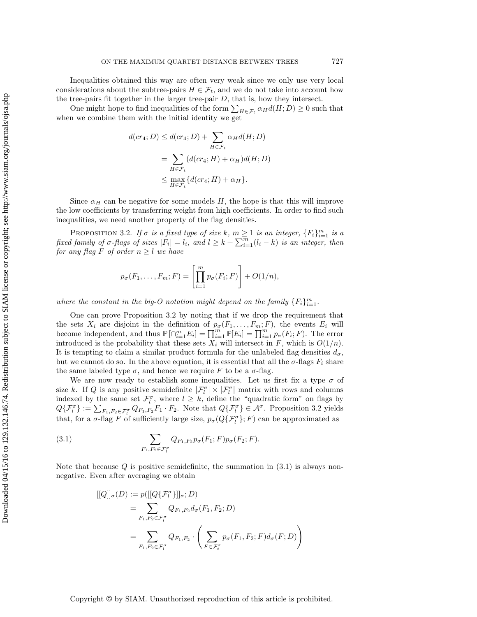Inequalities obtained this way are often very weak since we only use very local considerations about the subtree-pairs  $H \in \mathcal{F}_t$ , and we do not take into account how the tree-pairs fit together in the larger tree-pair  $D$ , that is, how they intersect.

One might hope to find inequalities of the form  $\sum_{H \in \mathcal{F}_t} \alpha_H d(H; D) \geq 0$  such that when we combine them with the initial identity we get

$$
d(c r_4; D) \leq d(c r_4; D) + \sum_{H \in \mathcal{F}_t} \alpha_H d(H; D)
$$
  
= 
$$
\sum_{H \in \mathcal{F}_t} (d(c r_4; H) + \alpha_H) d(H; D)
$$
  

$$
\leq \max_{H \in \mathcal{F}_t} \{d(c r_4; H) + \alpha_H\}.
$$

Since  $\alpha_H$  can be negative for some models H, the hope is that this will improve the low coefficients by transferring weight from high coefficients. In order to find such inequalities, we need another property of the flag densities.

<span id="page-9-0"></span>PROPOSITION 3.2. If  $\sigma$  is a fixed type of size  $k$ ,  $m \ge 1$  is an integer,  $\{F_i\}_{i=1}^m$  is a fixed family of  $\sigma$ -flags of sizes  $|F_i| = l_i$ , and  $l \ge k + \sum_{i=1}^m (l_i - k)$  is an integer, then *for any flag* F *of order*  $n \geq l$  *we have* 

$$
p_{\sigma}(F_1,\ldots,F_m;F)=\left[\prod_{i=1}^m p_{\sigma}(F_i;F)\right]+O(1/n),
$$

where the constant in the big-O notation might depend on the family  ${F_i}_{i=1}^m$ .

One can prove Proposition [3.2](#page-9-0) by noting that if we drop the requirement that the sets  $X_i$  are disjoint in the definition of  $p_{\sigma}(F_1,\ldots,F_m;F)$ , the events  $E_i$  will become independent, and thus  $\mathbb{P}[\bigcap_{i=1}^{m} E_i] = \prod_{i=1}^{m} \mathbb{P}[E_i] = \prod_{i=1}^{m} p_{\sigma}(F_i; F)$ . The error introduced is the probability that these sets  $X_i$  will intersect in F, which is  $O(1/n)$ . It is tempting to claim a similar product formula for the unlabeled flag densities  $d_{\sigma}$ , but we cannot do so. In the above equation, it is essential that all the  $\sigma$ -flags  $F_i$  share the same labeled type  $\sigma$ , and hence we require F to be a  $\sigma$ -flag.

We are now ready to establish some inequalities. Let us first fix a type  $\sigma$  of size k. If Q is any positive semidefinite  $|\mathcal{F}_l^{\sigma}| \times |\mathcal{F}_l^{\sigma}|$  matrix with rows and columns indexed by the same set  $\mathcal{F}_l^{\sigma}$ , where  $l \geq k$ , define the "quadratic form" on flags by  $Q\{\mathcal{F}_l^{\sigma}\} := \sum_{F_1,F_2 \in \mathcal{F}_l^{\sigma}} Q_{F_1,F_2} F_1 \cdot F_2$ . Note that  $Q\{\mathcal{F}_l^{\sigma}\} \in \mathcal{A}^{\sigma}$ . Proposition [3.2](#page-9-0) yields that, for a  $\sigma$ -flag F of sufficiently large size,  $p_{\sigma}(Q\{\mathcal{F}_{l}^{\sigma}\};F)$  can be approximated as

(3.1) 
$$
\sum_{F_1, F_2 \in \mathcal{F}_l^{\sigma}} Q_{F_1, F_2} p_{\sigma}(F_1; F) p_{\sigma}(F_2; F).
$$

Note that because  $Q$  is positive semidefinite, the summation in  $(3.1)$  is always nonnegative. Even after averaging we obtain

<span id="page-9-1"></span>
$$
[[Q]]_{\sigma}(D) := p([[Q\{\mathcal{F}_l^{\sigma}\}]]_{\sigma}; D)
$$
  
= 
$$
\sum_{F_1, F_2 \in \mathcal{F}_l^{\sigma}} Q_{F_1, F_2} d_{\sigma}(F_1, F_2; D)
$$
  
= 
$$
\sum_{F_1, F_2 \in \mathcal{F}_l^{\sigma}} Q_{F_1, F_2} \cdot \left( \sum_{F \in \mathcal{F}_l^{\sigma}} p_{\sigma}(F_1, F_2; F) d_{\sigma}(F; D) \right)
$$

Copyright © by SIAM. Unauthorized reproduction of this article is prohibited.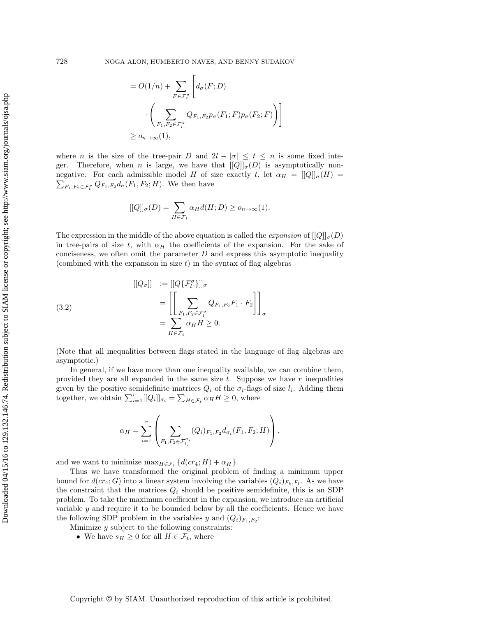$$
= O(1/n) + \sum_{F \in \mathcal{F}_t^{\sigma}} \left[ d_{\sigma}(F; D) \cdot \left( \sum_{F_1, F_2 \in \mathcal{F}_t^{\sigma}} Q_{F_1, F_2} p_{\sigma}(F_1; F) p_{\sigma}(F_2; F) \right) \right]
$$
  

$$
\geq o_{n \to \infty}(1),
$$

where n is the size of the tree-pair D and  $2l - |\sigma| \leq t \leq n$  is some fixed integer. Therefore, when n is large, we have that  $[[Q]]_{\sigma}(D)$  is asymptotically nonnegative. For each admissible model H of size exactly t, let  $\alpha_H = [[Q]]_{\sigma}(H) =$  $\sum_{F_1,F_2\in\mathcal{F}^\sigma_t} Q_{F_1,F_2}d_\sigma(F_1,F_2;H)$ . We then have

$$
[[Q]]_{\sigma}(D) = \sum_{H \in \mathcal{F}_t} \alpha_H d(H; D) \ge o_{n \to \infty}(1).
$$

The expression in the middle of the above equation is called the *expansion* of  $[|Q|]_{\sigma}(D)$ in tree-pairs of size t, with  $\alpha_H$  the coefficients of the expansion. For the sake of conciseness, we often omit the parameter  $D$  and express this asymptotic inequality (combined with the expansion in size  $t$ ) in the syntax of flag algebras

<span id="page-10-0"></span>(3.2)  
\n
$$
[[Q_{\sigma}]] := [[Q\{\mathcal{F}_{l}^{\sigma}\}]]_{\sigma}
$$
\n
$$
= \left[\left[\sum_{F_{1}, F_{2} \in \mathcal{F}_{l}^{\sigma}} Q_{F_{1}, F_{2}} F_{1} \cdot F_{2}\right]\right]_{\sigma}
$$
\n
$$
= \sum_{H \in \mathcal{F}_{t}} \alpha_{H} H \geq 0.
$$

(Note that all inequalities between flags stated in the language of flag algebras are asymptotic.)

In general, if we have more than one inequality available, we can combine them, provided they are all expanded in the same size  $t$ . Suppose we have  $r$  inequalities given by the positive semidefinite matrices  $Q_i$  of the  $\sigma_i$ -flags of size  $l_i$ . Adding them together, we obtain  $\sum_{i=1}^r [[Q_i]]_{\sigma_i} = \sum_{H \in \mathcal{F}_t} \alpha_H H \geq 0$ , where

$$
\alpha_H = \sum_{i=1}^r \left( \sum_{F_1, F_2 \in \mathcal{F}_{l_i}^{\sigma_i}} (Q_i)_{F_1, F_2} d_{\sigma_i}(F_1, F_2; H) \right),
$$

and we want to minimize  $\max_{H \in \mathcal{F}_t} \{d(cr_4; H) + \alpha_H\}.$ 

Thus we have transformed the original problem of finding a minimum upper bound for  $d(c_{4}; G)$  into a linear system involving the variables  $(Q_i)_{F_k, F_l}$ . As we have the constraint that the matrices  $Q_i$  should be positive semidefinite, this is an SDP problem. To take the maximum coefficient in the expansion, we introduce an artificial variable  $y$  and require it to be bounded below by all the coefficients. Hence we have the following SDP problem in the variables y and  $(Q_i)_{F_1,F_2}$ :

Minimize  $y$  subject to the following constraints:

• We have  $s_H \geq 0$  for all  $H \in \mathcal{F}_t$ , where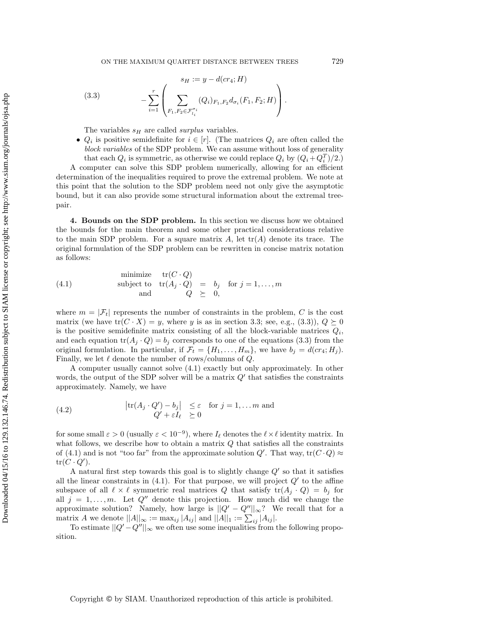<span id="page-11-1"></span>(3.3) 
$$
s_H := y - d(c r_4; H)
$$

$$
- \sum_{i=1}^r \left( \sum_{F_1, F_2 \in \mathcal{F}_{l_i}^{\sigma_i}} (Q_i)_{F_1, F_2} d_{\sigma_i}(F_1, F_2; H) \right).
$$

The variables  $s_H$  are called *surplus* variables.

•  $Q_i$  is positive semidefinite for  $i \in [r]$ . (The matrices  $Q_i$  are often called the *block variables* of the SDP problem. We can assume without loss of generality that each  $Q_i$  is symmetric, as otherwise we could replace  $Q_i$  by  $(Q_i + Q_i^T)/2$ .

A computer can solve this SDP problem numerically, allowing for an efficient determination of the inequalities required to prove the extremal problem. We note at this point that the solution to the SDP problem need not only give the asymptotic bound, but it can also provide some structural information about the extremal treepair.

<span id="page-11-0"></span>**4. Bounds on the SDP problem.** In this section we discuss how we obtained the bounds for the main theorem and some other practical considerations relative to the main SDP problem. For a square matrix  $A$ , let  $tr(A)$  denote its trace. The original formulation of the SDP problem can be rewritten in concise matrix notation as follows:

<span id="page-11-2"></span>(4.1) minimize 
$$
tr(C \cdot Q)
$$
  
subject to  $tr(A_j \cdot Q) = b_j$  for  $j = 1,..., m$   
and  $Q \succeq 0$ ,

where  $m = |\mathcal{F}_t|$  represents the number of constraints in the problem, C is the cost matrix (we have  $\text{tr}(C \cdot X) = y$ , where y is as in section [3.3;](#page-8-0) see, e.g., [\(3.3\)](#page-11-1)),  $Q \succeq 0$ is the positive semidefinite matrix consisting of all the block-variable matrices  $Q_i$ , and each equation  $tr(A_j \cdot Q) = b_j$  corresponds to one of the equations [\(3.3\)](#page-11-1) from the original formulation. In particular, if  $\mathcal{F}_t = \{H_1, \ldots, H_m\}$ , we have  $b_j = d(c r_4; H_j)$ . Finally, we let  $\ell$  denote the number of rows/columns of  $Q$ .

A computer usually cannot solve [\(4.1\)](#page-11-2) exactly but only approximately. In other words, the output of the SDP solver will be a matrix  $Q'$  that satisfies the constraints approximately. Namely, we have

<span id="page-11-3"></span>(4.2) 
$$
\begin{array}{rcl} |\text{tr}(A_j \cdot Q') - b_j| & \leq \varepsilon \quad \text{for } j = 1, \dots m \text{ and} \\ Q' + \varepsilon I_\ell & \geq 0 \end{array}
$$

for some small  $\varepsilon > 0$  (usually  $\varepsilon < 10^{-9}$ ), where  $I_{\ell}$  denotes the  $\ell \times \ell$  identity matrix. In what follows, we describe how to obtain a matrix  $Q$  that satisfies all the constraints of [\(4.1\)](#page-11-2) and is not "too far" from the approximate solution  $Q'$ . That way,  $\text{tr}(C \cdot Q) \approx$  $tr(C \cdot Q')$ .

A natural first step towards this goal is to slightly change  $Q'$  so that it satisfies all the linear constraints in  $(4.1)$ . For that purpose, we will project  $Q'$  to the affine subspace of all  $\ell \times \ell$  symmetric real matrices Q that satisfy  $tr(A_j \cdot Q) = b_j$  for all  $j = 1, \ldots, m$ . Let  $Q''$  denote this projection. How much did we change the approximate solution? Namely, how large is  $||Q' - Q''||_{\infty}$ ? We recall that for a matrix A we denote  $||A||_{\infty} := \max_{ij} |A_{ij}|$  and  $||A||_1 := \sum_{ij} |A_{ij}|$ .

To estimate  $||Q' - Q''||_{\infty}$  we often use some inequalities from the following proposition.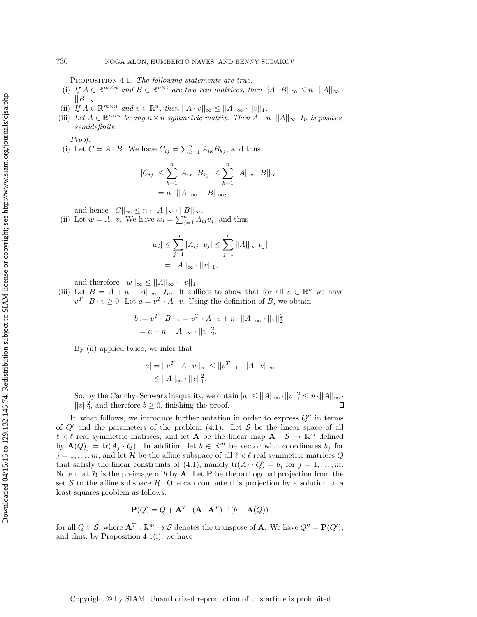<span id="page-12-0"></span>Proposition 4.1. *The following statements are true:*

- (i) *If*  $A \in \mathbb{R}^{m \times n}$  *and*  $B \in \mathbb{R}^{n \times l}$  *are two real matrices, then*  $||A \cdot B||_{\infty} \leq n \cdot ||A||_{\infty}$ .  $||B||_{\infty}$ .
- (ii) *If*  $A \in \mathbb{R}^{m \times n}$  *and*  $v \in \mathbb{R}^n$ , *then*  $||A \cdot v||_{\infty} \le ||A||_{\infty} \cdot ||v||_1$ .
- (iii) Let  $A \in \mathbb{R}^{n \times n}$  be any  $n \times n$  symmetric matrix. Then  $A+n \cdot ||A||_{\infty} \cdot I_n$  is positive *semidefinite.*

*Proof.*

(i) Let  $C = A \cdot B$ . We have  $C_{ij} = \sum_{k=1}^{n} A_{ik} B_{kj}$ , and thus

$$
|C_{ij}| \leq \sum_{k=1}^{n} |A_{ik}| |B_{kj}| \leq \sum_{k=1}^{n} ||A||_{\infty} ||B||_{\infty}
$$
  
=  $n \cdot ||A||_{\infty} \cdot ||B||_{\infty}$ ,

and hence  $||C||_{\infty} \leq n \cdot ||A||_{\infty} \cdot ||B||_{\infty}$ .<br>
(ii) Let  $w = A \cdot v$ . We have  $w_i = \sum_{j=1}^{n} A_{ij}v_j$ , and thus

$$
|w_i| \le \sum_{j=1}^n |A_{ij}| |v_j| \le \sum_{j=1}^n ||A||_{\infty} |v_j|
$$
  
=  $||A||_{\infty} \cdot ||v||_1$ ,

and therefore  $||w||_{\infty} \leq ||A||_{\infty} \cdot ||v||_1$ .

(iii) Let  $B = A + n \cdot ||A||_{\infty} \cdot I_n$ . It suffices to show that for all  $v \in \mathbb{R}^n$  we have  $v^T \cdot B \cdot v \geq 0$ . Let  $a = v^T \cdot A \cdot v$ . Using the definition of B, we obtain

$$
b := v^{T} \cdot B \cdot v = v^{T} \cdot A \cdot v + n \cdot ||A||_{\infty} \cdot ||v||_{2}^{2}
$$
  
=  $a + n \cdot ||A||_{\infty} \cdot ||v||_{2}^{2}$ .

By (ii) applied twice, we infer that

$$
|a| = ||v^T \cdot A \cdot v||_{\infty} \le ||v^T||_1 \cdot ||A \cdot v||_{\infty}
$$
  
 
$$
\le ||A||_{\infty} \cdot ||v||_1^2.
$$

So, by the Cauchy–Schwarz inequality, we obtain  $|a| \leq ||A||_{\infty} \cdot ||v||_1^2 \leq n \cdot ||A||_{\infty} \cdot$  $||v||_2^2$ , and therefore  $b \geq 0$ , finishing the proof.

In what follows, we introduce further notation in order to express  $Q''$  in terms of  $Q'$  and the parameters of the problem [\(4.1\)](#page-11-2). Let S be the linear space of all  $\ell \times \ell$  real symmetric matrices, and let **A** be the linear map **A** :  $S \to \mathbb{R}^m$  defined by  $\mathbf{A}(Q)_j = \text{tr}(A_j \cdot Q)$ . In addition, let  $b \in \mathbb{R}^m$  be vector with coordinates  $b_j$  for  $j = 1, \ldots, m$ , and let H be the affine subspace of all  $\ell \times \ell$  real symmetric matrices Q that satisfy the linear constraints of [\(4.1\)](#page-11-2), namely  $tr(A_i \cdot Q) = b_i$  for  $j = 1, \ldots, m$ . Note that  $\mathcal{H}$  is the preimage of b by  $\mathbf{A}$ . Let  $\mathbf{P}$  be the orthogonal projection from the set S to the affine subspace  $\mathcal{H}$ . One can compute this projection by a solution to a least squares problem as follows:

$$
\mathbf{P}(Q) = Q + \mathbf{A}^T \cdot (\mathbf{A} \cdot \mathbf{A}^T)^{-1} (b - \mathbf{A}(Q))
$$

for all  $Q \in \mathcal{S}$ , where  $\mathbf{A}^T : \mathbb{R}^m \to \mathcal{S}$  denotes the transpose of **A**. We have  $Q'' = \mathbf{P}(Q')$ , and thus, by Proposition [4.1\(](#page-12-0)i), we have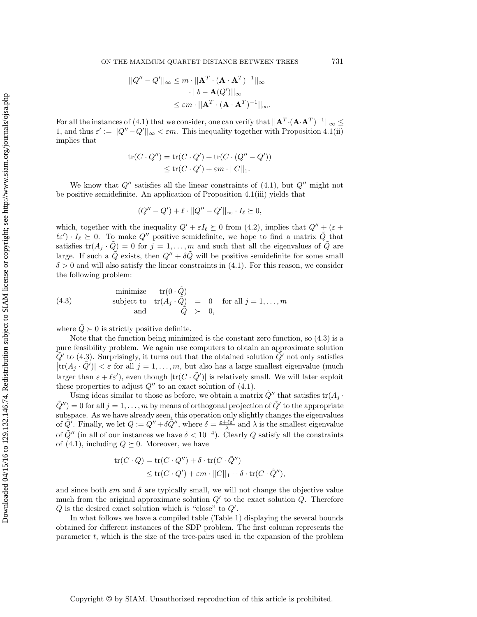ON THE MAXIMUM QUARTET DISTANCE BETWEEN TREES  $731$ 

$$
||Q'' - Q'||_{\infty} \le m \cdot ||\mathbf{A}^T \cdot (\mathbf{A} \cdot \mathbf{A}^T)^{-1}||_{\infty}
$$

$$
\cdot ||b - \mathbf{A}(Q')||_{\infty}
$$

$$
\le \varepsilon m \cdot ||\mathbf{A}^T \cdot (\mathbf{A} \cdot \mathbf{A}^T)^{-1}||_{\infty}.
$$

For all the instances of [\(4.1\)](#page-11-2) that we consider, one can verify that  $||\mathbf{A}^T \cdot (\mathbf{A} \cdot \mathbf{A}^T)^{-1}||_{\infty} \le$ 1, and thus  $\varepsilon' := ||Q'' - Q'||_{\infty} < \varepsilon m$ . This inequality together with Proposition [4.1\(](#page-12-0)ii) implies that

$$
\text{tr}(C \cdot Q'') = \text{tr}(C \cdot Q') + \text{tr}(C \cdot (Q'' - Q'))
$$
  

$$
\leq \text{tr}(C \cdot Q') + \varepsilon m \cdot ||C||_1.
$$

We know that  $Q''$  satisfies all the linear constraints of [\(4.1\)](#page-11-2), but  $Q''$  might not be positive semidefinite. An application of Proposition [4.1\(](#page-12-0)iii) yields that

$$
(Q''-Q')+\ell\cdot||Q''-Q'||_{\infty}\cdot I_{\ell}\succeq 0,
$$

which, together with the inequality  $Q' + \varepsilon I_{\ell} \succeq 0$  from [\(4.2\)](#page-11-3), implies that  $Q'' + (\varepsilon +$  $\ell \varepsilon'$ )  $I_{\ell} \succeq 0$ . To make Q'' positive semidefinite, we hope to find a matrix  $\tilde{Q}$  that satisfies  $tr(A_j \cdot \tilde{Q}) = 0$  for  $j = 1, \ldots, m$  and such that all the eigenvalues of  $\tilde{Q}$  are large. If such a  $\ddot{Q}$  exists, then  $Q'' + \delta \ddot{Q}$  will be positive semidefinite for some small  $\delta > 0$  and will also satisfy the linear constraints in [\(4.1\)](#page-11-2). For this reason, we consider the following problem:

<span id="page-13-0"></span>(4.3) minimize 
$$
tr(0 \cdot \tilde{Q})
$$
  
subject to  $tr(A_j \cdot \tilde{Q}) = 0$  for all  $j = 1,..., m$   
and  $\tilde{Q} \succ 0$ ,

where  $\ddot{Q} \succ 0$  is strictly positive definite.

Note that the function being minimized is the constant zero function, so [\(4.3\)](#page-13-0) is a pure feasibility problem. We again use computers to obtain an approximate solution  $\dot{Q}'$  to [\(4.3\)](#page-13-0). Surprisingly, it turns out that the obtained solution  $\dot{Q}'$  not only satisfies  $|\text{tr}(A_j \cdot \tilde{Q}')| < \varepsilon$  for all  $j = 1, \ldots, m$ , but also has a large smallest eigenvalue (much larger than  $\varepsilon + \ell \varepsilon'$ ), even though  $|\text{tr}(C \cdot \tilde{Q}')|$  is relatively small. We will later exploit these properties to adjust  $Q''$  to an exact solution of [\(4.1\)](#page-11-2).

Using ideas similar to those as before, we obtain a matrix  $\tilde{Q}''$  that satisfies  $tr(A_i \cdot$  $\ddot{Q}$ ") = 0 for all  $j = 1, \ldots, m$  by means of orthogonal projection of  $\ddot{Q}$ " to the appropriate subspace. As we have already seen, this operation only slightly changes the eigenvalues of  $\tilde{Q'}$ . Finally, we let  $Q := \tilde{Q''} + \delta \tilde{Q''}$ , where  $\delta = \frac{\varepsilon + \ell \varepsilon'}{\lambda}$  and  $\lambda$  is the smallest eigenvalue of  $\tilde{Q}''$  (in all of our instances we have  $\delta < 10^{-4}$ ). Clearly Q satisfy all the constraints of [\(4.1\)](#page-11-2), including  $Q \succeq 0$ . Moreover, we have

$$
\begin{aligned} \text{tr}(C \cdot Q) &= \text{tr}(C \cdot Q'') + \delta \cdot \text{tr}(C \cdot \tilde{Q}'') \\ &\le \text{tr}(C \cdot Q') + \varepsilon m \cdot ||C||_1 + \delta \cdot \text{tr}(C \cdot \tilde{Q}''), \end{aligned}
$$

and since both  $\varepsilon m$  and  $\delta$  are typically small, we will not change the objective value much from the original approximate solution  $Q'$  to the exact solution  $Q$ . Therefore  $Q$  is the desired exact solution which is "close" to  $Q'$ .

In what follows we have a compiled table (Table [1\)](#page-14-1) displaying the several bounds obtained for different instances of the SDP problem. The first column represents the parameter  $t$ , which is the size of the tree-pairs used in the expansion of the problem

Copyright © by SIAM. Unauthorized reproduction of this article is prohibited.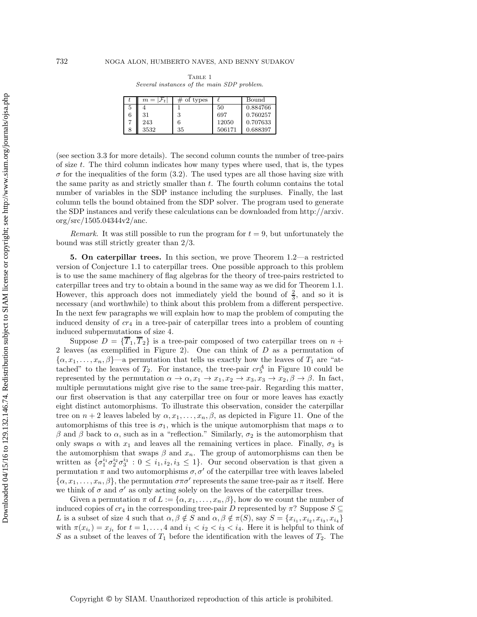<span id="page-14-1"></span>

|   | $m= \mathcal{F}_t $ | of types |        | Bound    |
|---|---------------------|----------|--------|----------|
| 5 |                     |          | 50     | 0.884766 |
| 6 | 31                  | 2        | 697    | 0.760257 |
|   | 243                 |          | 12050  | 0.707633 |
|   | 3532                | 35       | 506171 | 0.688397 |

Table 1 *Several instances of the main SDP problem.*

(see section [3.3](#page-8-0) for more details). The second column counts the number of tree-pairs of size  $t$ . The third column indicates how many types where used, that is, the types  $\sigma$  for the inequalities of the form [\(3.2\)](#page-10-0). The used types are all those having size with the same parity as and strictly smaller than t. The fourth column contains the total number of variables in the SDP instance including the surpluses. Finally, the last column tells the bound obtained from the SDP solver. The program used to generate the SDP instances and verify these calculations can be downloaded from [http://arxiv.](http://arxiv.org/src/1505.04344v2/anc) [org/src/1505.04344v2/anc.](http://arxiv.org/src/1505.04344v2/anc)

*Remark.* It was still possible to run the program for  $t = 9$ , but unfortunately the bound was still strictly greater than 2/3.

<span id="page-14-0"></span>**5. On caterpillar trees.** In this section, we prove Theorem [1.2—](#page-1-3)a restricted version of Conjecture [1.1](#page-1-1) to caterpillar trees. One possible approach to this problem is to use the same machinery of flag algebras for the theory of tree-pairs restricted to caterpillar trees and try to obtain a bound in the same way as we did for Theorem [1.1.](#page-1-2) However, this approach does not immediately yield the bound of  $\frac{2}{3}$ , and so it is necessary (and worthwhile) to think about this problem from a different perspective. In the next few paragraphs we will explain how to map the problem of computing the induced density of  $cr_4$  in a tree-pair of caterpillar trees into a problem of counting induced subpermutations of size 4.

Suppose  $D = {\overline{T}_1, \overline{T}_2}$  is a tree-pair composed of two caterpillar trees on  $n +$ 2 leaves (as exemplified in Figure [2\)](#page-2-0). One can think of D as a permutation of  $\{\alpha, x_1,\ldots,x_n,\beta\}$ —a permutation that tells us exactly how the leaves of  $T_1$  are "attached" to the leaves of  $T_2$ . For instance, the tree-pair  $cr_5^A$  in Figure [10](#page-7-0) could be represented by the permutation  $\alpha \to \alpha$ ,  $x_1 \to x_1$ ,  $x_2 \to x_3$ ,  $x_3 \to x_2$ ,  $\beta \to \beta$ . In fact, multiple permutations might give rise to the same tree-pair. Regarding this matter, our first observation is that any caterpillar tree on four or more leaves has exactly eight distinct automorphisms. To illustrate this observation, consider the caterpillar tree on  $n + 2$  leaves labeled by  $\alpha, x_1, \ldots, x_n, \beta$ , as depicted in Figure [11.](#page-15-0) One of the automorphisms of this tree is  $\sigma_1$ , which is the unique automorphism that maps  $\alpha$  to β and β back to  $\alpha$ , such as in a "reflection." Similarly,  $\sigma_2$  is the automorphism that only swaps  $\alpha$  with  $x_1$  and leaves all the remaining vertices in place. Finally,  $\sigma_3$  is the automorphism that swaps  $\beta$  and  $x_n$ . The group of automorphisms can then be written as  $\{\sigma_1^{i_1} \sigma_2^{i_2} \sigma_3^{i_3} : 0 \leq i_1, i_2, i_3 \leq 1\}$ . Our second observation is that given a permutation  $\pi$  and two automorphisms  $\sigma$ ,  $\sigma'$  of the caterpillar tree with leaves labeled  $\{\alpha, x_1,\ldots,x_n,\beta\}$ , the permutation  $\sigma\pi\sigma'$  represents the same tree-pair as  $\pi$  itself. Here we think of  $\sigma$  and  $\sigma'$  as only acting solely on the leaves of the caterpillar trees.

Given a permutation  $\pi$  of  $L := {\alpha, x_1, \ldots, x_n, \beta}$ , how do we count the number of induced copies of  $cr_4$  in the corresponding tree-pair D represented by  $\pi$ ? Suppose  $S \subseteq$ L is a subset of size 4 such that  $\alpha, \beta \notin S$  and  $\alpha, \beta \notin \pi(S)$ , say  $S = \{x_{i_1}, x_{i_2}, x_{i_3}, x_{i_4}\}$ with  $\pi(x_{i_t}) = x_{i_t}$  for  $t = 1, \ldots, 4$  and  $i_1 < i_2 < i_3 < i_4$ . Here it is helpful to think of S as a subset of the leaves of  $T_1$  before the identification with the leaves of  $T_2$ . The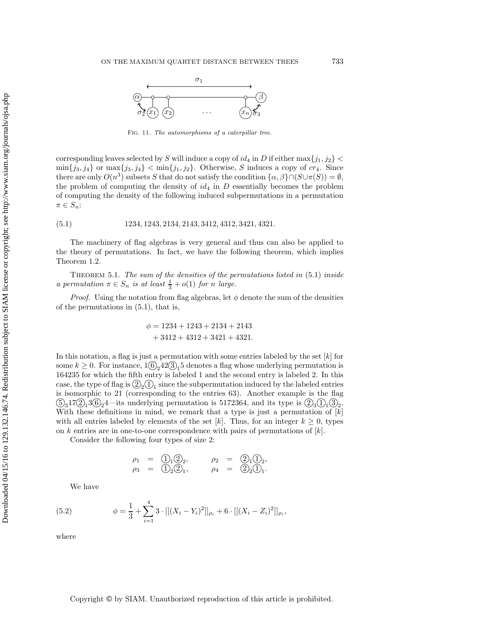<span id="page-15-0"></span>

Fig. 11. *The automorphisms of a caterpillar tree.*

corresponding leaves selected by S will induce a copy of  $id_4$  in D if either max $\{j_1, j_2\}$  <  $\min\{j_3, j_4\}$  or  $\max\{j_3, j_4\} < \min\{j_1, j_2\}$ . Otherwise, S induces a copy of  $cr_4$ . Since there are only  $O(n^3)$  subsets S that do not satisfy the condition  $\{\alpha, \beta\} \cap (S \cup \pi(S)) = \emptyset$ , the problem of computing the density of  $id_4$  in D essentially becomes the problem of computing the density of the following induced subpermutations in a permutation  $\pi \in S_n$ :

<span id="page-15-1"></span>(5.1) 1234, 1243, 2134, 2143, 3412, 4312, 3421, 4321.

The machinery of flag algebras is very general and thus can also be applied to the theory of permutations. In fact, we have the following theorem, which implies Theorem [1.2.](#page-1-3)

Theorem 5.1. *The sum of the densities of the permutations listed in* [\(5.1\)](#page-15-1) *inside a permutation*  $\pi \in S_n$  *is at least*  $\frac{1}{3} + o(1)$  *for n large.* 

*Proof.* Using the notation from flag algebras, let  $\phi$  denote the sum of the densities of the permutations in [\(5.1\)](#page-15-1), that is,

$$
\phi = 1234 + 1243 + 2134 + 2143
$$

$$
+ 3412 + 4312 + 3421 + 4321.
$$

In this notation, a flag is just a permutation with some entries labeled by the set  $[k]$  for some  $k \geq 0$ . For instance,  $1(6)$ <sub>2</sub>42(3)<sub>1</sub>5 denotes a flag whose underlying permutation is 164235 for which the fifth entry is labeled 1 and the second entry is labeled 2. In this case, the type of flag is  $(2)_{2}(1)_{1}$  since the subpermutation induced by the labeled entries is isomorphic to 21 (corresponding to the entries 63). Another example is the flag  $(5)_3$ 17 $(2)_1$ 3 $(6)_2$ 4—its underlying permutation is 5172364, and its type is  $(2)_3$  $(1)_1$  $(3)_2$ . With these definitions in mind, we remark that a type is just a permutation of  $[k]$ with all entries labeled by elements of the set [k]. Thus, for an integer  $k \geq 0$ , types on k entries are in one-to-one correspondence with pairs of permutations of  $|k|$ .

Consider the following four types of size 2:

$$
\rho_1 = \bigcirc_{12} 2_2, \qquad \rho_2 = \bigcirc_{12} 2_1, \n\rho_3 = \bigcirc_{22} 2_1, \qquad \rho_4 = \bigcirc_{22} 2_1.
$$

<span id="page-15-2"></span>We have

(5.2) 
$$
\phi = \frac{1}{3} + \sum_{i=1}^{4} 3 \cdot [[(X_i - Y_i)^2]]_{\rho_i} + 6 \cdot [[(X_i - Z_i)^2]]_{\rho_i},
$$

where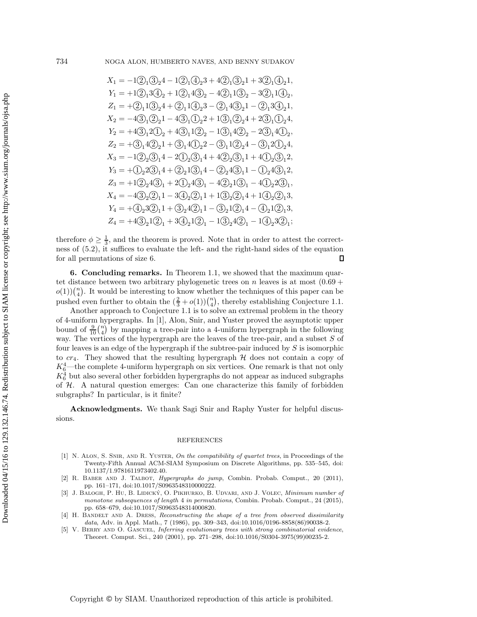$$
\begin{split} X_1 &= -1 \textcircled{2}_1 \textcircled{3}_2 4 - 1 \textcircled{2}_1 \textcircled{4}_2 3 + 4 \textcircled{2}_1 \textcircled{3}_2 1 + 3 \textcircled{2}_1 \textcircled{4}_2 1, \\ Y_1 &= +1 \textcircled{2}_1 3 \textcircled{4}_2 + 1 \textcircled{2}_1 4 \textcircled{3}_2 - 4 \textcircled{2}_1 1 \textcircled{3}_2 - 3 \textcircled{2}_1 1 \textcircled{4}_2, \\ Z_1 &= + \textcircled{2}_1 1 \textcircled{3}_2 4 + \textcircled{2}_1 1 \textcircled{4}_2 3 - \textcircled{2}_1 4 \textcircled{3}_2 1 - \textcircled{2}_1 3 \textcircled{4}_2 1, \\ X_2 &= -4 \textcircled{3}_1 \textcircled{2}_2 1 - 4 \textcircled{3}_1 \textcircled{1}_2 2 + 1 \textcircled{3}_1 \textcircled{2}_2 4 + 2 \textcircled{3}_1 \textcircled{1}_2 4, \\ Y_2 &= +4 \textcircled{3}_1 2 \textcircled{1}_2 + 4 \textcircled{3}_1 1 \textcircled{2}_2 - 1 \textcircled{3}_1 4 \textcircled{2}_2 - 2 \textcircled{3}_1 4 \textcircled{1}_2, \\ Z_2 &= + \textcircled{3}_1 4 \textcircled{2}_2 1 + \textcircled{3}_1 4 \textcircled{1}_2 - \textcircled{3}_1 1 \textcircled{2}_2 4 - \textcircled{3}_1 2 \textcircled{4}, \\ X_3 &= -1 \textcircled{2}_2 \textcircled{3}_1 4 - 2 \textcircled{1}_2 \textcircled{3}_1 4 + 4 \textcircled{2}_2 \textcircled{3}_1 1 + 4 \textcircled{1}_2 \textcircled{3}_1 2, \\ Y_3 &= + \textcircled{2}_2 \textcircled{3}_1 4 + \textcircled{2}_2 1 \textcircled{3}_1 4 - \textcircled{2}_2 4 \textcircled{3}_1 1 - \textcircled{1}_2 4 \textcircled{3}_1 2, \\ Z_3 &= +1 \textcircled{2}_2 \textcircled{3}_1 4 + 2 \textcircled{1}_2 \textcircled{3}_1 - 4 \text
$$

therefore  $\phi \geq \frac{1}{3}$ , and the theorem is proved. Note that in order to attest the correctness of [\(5.2\)](#page-15-2), it suffices to evaluate the left- and the right-hand sides of the equation for all permutations of size 6.  $\Box$ 

**6. Concluding remarks.** In Theorem [1.1,](#page-1-2) we showed that the maximum quartet distance between two arbitrary phylogenetic trees on n leaves is at most  $(0.69 +$  $o(1))\binom{n}{4}$  $\binom{n}{4}$ . It would be interesting to know whether the techniques of this paper can be pushed even further to obtain the  $(\frac{2}{3}+o(1))\binom{n}{4}$  $\binom{n}{4}$ , thereby establishing Conjecture [1.1.](#page-1-1)

Another approach to Conjecture [1.1](#page-1-1) is to solve an extremal problem in the theory of 4-uniform hypergraphs. In [\[1\]](#page-16-2), Alon, Snir, and Yuster proved the asymptotic upper bound of  $\frac{9}{10}$  $\binom{n}{4}$  $\binom{n}{4}$  by mapping a tree-pair into a 4-uniform hypergraph in the following way. The vertices of the hypergraph are the leaves of the tree-pair, and a subset  $S$  of four leaves is an edge of the hypergraph if the subtree-pair induced by  $S$  is isomorphic to  $cr_4$ . They showed that the resulting hypergraph  $H$  does not contain a copy of  $K_6^4$ —the complete 4-uniform hypergraph on six vertices. One remark is that not only  $K_6^4$  but also several other forbidden hypergraphs do not appear as induced subgraphs of H. A natural question emerges: Can one characterize this family of forbidden subgraphs? In particular, is it finite?

**Acknowledgments.** We thank Sagi Snir and Raphy Yuster for helpful discussions.

## REFERENCES

- <span id="page-16-2"></span>[1] N. Alon, S. Snir, and R. Yuster, *On the compatibility of quartet trees*, in Proceedings of the Twenty-Fifth Annual ACM-SIAM Symposium on Discrete Algorithms, pp. 535–545, [doi:](http://dx.doi.org/10.1137/1.9781611973402.40) [10.1137/1.9781611973402.40.](http://dx.doi.org/10.1137/1.9781611973402.40)
- <span id="page-16-3"></span>[2] R. Baber and J. Talbot, *Hypergraphs do jump*, Combin. Probab. Comput., 20 (2011), pp. 161–171, [doi:10.1017/S0963548310000222.](http://dx.doi.org/10.1017/S0963548310000222)
- <span id="page-16-4"></span>J. Balogh, P. Hu, B. Lidický, O. Pikhurko, B. Udvari, and J. Volec, *Minimum number of monotone subsequences of length* 4 *in permutations*, Combin. Probab. Comput., 24 (2015), pp. 658–679, [doi:10.1017/S0963548314000820.](http://dx.doi.org/10.1017/S0963548314000820)
- <span id="page-16-1"></span>[4] H. BANDELT AND A. DRESS, *Reconstructing the shape of a tree from observed dissimilarity data*, Adv. in Appl. Math., 7 (1986), pp. 309–343, [doi:10.1016/0196-8858\(86\)90038-2.](http://dx.doi.org/10.1016/0196-8858(86)90038-2)
- <span id="page-16-0"></span>[5] V. Berry and O. Gascuel, *Inferring evolutionary trees with strong combinatorial evidence*, Theoret. Comput. Sci., 240 (2001), pp. 271–298, [doi:10.1016/S0304-3975\(99\)00235-2.](http://dx.doi.org/10.1016/S0304-3975(99)00235-2)